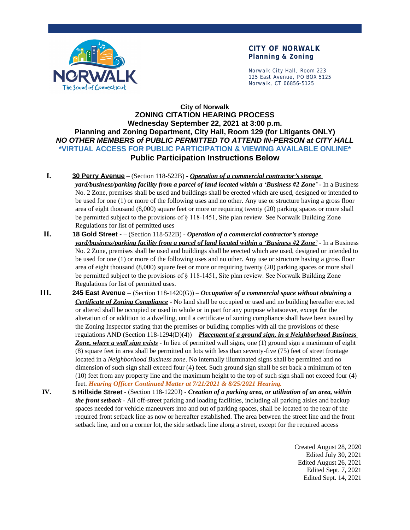

#### **CITY OF NORWALK Planning & Zoning**

Norwalk City Hall, Room 223 125 East Avenue, PO BOX 5125 Norwalk, CT 06856-5125

## **City of Norwalk ZONING CITATION HEARING PROCESS Wednesday September 22, 2021 at 3:00 p.m. Planning and Zoning Department, City Hall, Room 129 (for Litigants ONLY)** *NO OTHER MEMBERS of PUBLIC PERMITTED TO ATTEND IN-PERSON at CITY HALL* **\*VIRTUAL ACCESS FOR PUBLIC PARTICIPATION & VIEWING AVAILABLE ONLINE\* Public Participation Instructions Below**

- **I. 30 Perry Avenue** (Section 118-522B) *Operation of a commercial contractor's storage yard/business/parking facility from a parcel of land located within a 'Business #2 Zone'* - In a Business No. 2 Zone, premises shall be used and buildings shall be erected which are used, designed or intended to be used for one (1) or more of the following uses and no other. Any use or structure having a gross floor area of eight thousand (8,000) square feet or more or requiring twenty (20) parking spaces or more shall be permitted subject to the provisions of § 118-1451, Site plan review. See Norwalk Building Zone Regulations for list of permitted uses
- **II. 18 Gold Street** – (Section 118-522B) *Operation of a commercial contractor's storage yard/business/parking facility from a parcel of land located within a 'Business #2 Zone'* - In a Business No. 2 Zone, premises shall be used and buildings shall be erected which are used, designed or intended to be used for one (1) or more of the following uses and no other. Any use or structure having a gross floor area of eight thousand (8,000) square feet or more or requiring twenty (20) parking spaces or more shall be permitted subject to the provisions of § 118-1451, Site plan review. See Norwalk Building Zone Regulations for list of permitted uses.
- **III. 245 East Avenue** (Section 118-1420(G)) *Occupation of a commercial space without obtaining a Certificate of Zoning Compliance* - No land shall be occupied or used and no building hereafter erected or altered shall be occupied or used in whole or in part for any purpose whatsoever, except for the alteration of or addition to a dwelling, until a certificate of zoning compliance shall have been issued by the Zoning Inspector stating that the premises or building complies with all the provisions of these regulations AND (Section 118-1294(D)(4)) – *Placement of a ground sign, in a Neighborhood Business Zone, where a wall sign exists* - In lieu of permitted wall signs, one (1) ground sign a maximum of eight (8) square feet in area shall be permitted on lots with less than seventy-five (75) feet of street frontage located in a *Neighborhood Business zone*. No internally illuminated signs shall be permitted and no dimension of such sign shall exceed four (4) feet. Such ground sign shall be set back a minimum of ten (10) feet from any property line and the maximum height to the top of such sign shall not exceed four (4) feet. *Hearing Officer Continued Matter at 7/21/2021 & 8/25/2021 Hearing.*
- **IV. 5 Hillside Street** (Section 118-1220J) *Creation of a parking area, or utilization of an area, within the front setback* - All off-street parking and loading facilities, including all parking aisles and backup spaces needed for vehicle maneuvers into and out of parking spaces, shall be located to the rear of the required front setback line as now or hereafter established. The area between the street line and the front setback line, and on a corner lot, the side setback line along a street, except for the required access

Created August 28, 2020 Edited July 30, 2021 Edited August 26, 2021 Edited Sept. 7, 2021 Edited Sept. 14, 2021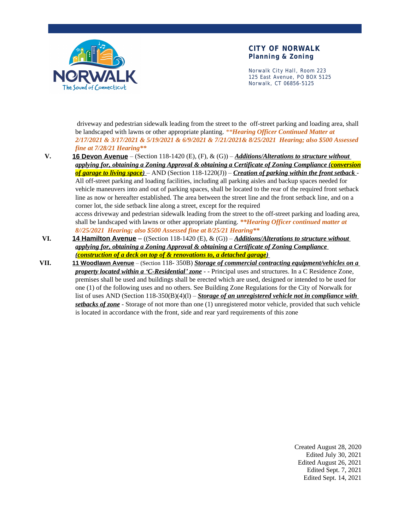

#### **CITY OF NORWALK Planning & Zoning**

Norwalk City Hall, Room 223 125 East Avenue, PO BOX 5125 Norwalk, CT 06856-5125

 driveway and pedestrian sidewalk leading from the street to the off-street parking and loading area, shall be landscaped with lawns or other appropriate planting. *\*\*Hearing Officer Continued Matter at 2/17/2021 & 3/17/2021 & 5/19/2021 & 6/9/2021 & 7/21/2021& 8/25/2021 Hearing; also \$500 Assessed fine at 7/28/21 Hearing\*\**

**V. 16 Devon Avenue** – (Section 118-1420 (E), (F), & (G)) – *Additions/Alterations to structure without applying for, obtaining a Zoning Approval & obtaining a Certificate of Zoning Compliance (conversion of garage to living space)* – AND (Section 118-1220(J)) – *Creation of parking within the front setback* - All off-street parking and loading facilities, including all parking aisles and backup spaces needed for vehicle maneuvers into and out of parking spaces, shall be located to the rear of the required front setback line as now or hereafter established. The area between the street line and the front setback line, and on a corner lot, the side setback line along a street, except for the required access driveway and pedestrian sidewalk leading from the street to the off-street parking and loading area, shall be landscaped with lawns or other appropriate planting. *\*\*Hearing Officer continued matter at* 

*8//25/2021 Hearing; also \$500 Assessed fine at 8/25/21 Hearing\*\**

**VI. 14 Hamilton Avenue** – ((Section 118-1420 (E), & (G)) – *Additions/Alterations to structure without applying for, obtaining a Zoning Approval & obtaining a Certificate of Zoning Compliance (construction of a deck on top of & renovations to, a detached garage)* 

**VII. 11 Woodlawn Avenue** – (Section 118- 350B) *Storage of commercial contracting equipment/vehicles on a property located within a 'C-Residential' zone* - - Principal uses and structures. In a C Residence Zone, premises shall be used and buildings shall be erected which are used, designed or intended to be used for one (1) of the following uses and no others. See Building Zone Regulations for the City of Norwalk for list of uses AND (Section 118-350(B)(4)(l) – *Storage of an unregistered vehicle not in compliance with setbacks of zone* - Storage of not more than one (1) unregistered motor vehicle, provided that such vehicle is located in accordance with the front, side and rear yard requirements of this zone

> Created August 28, 2020 Edited July 30, 2021 Edited August 26, 2021 Edited Sept. 7, 2021 Edited Sept. 14, 2021